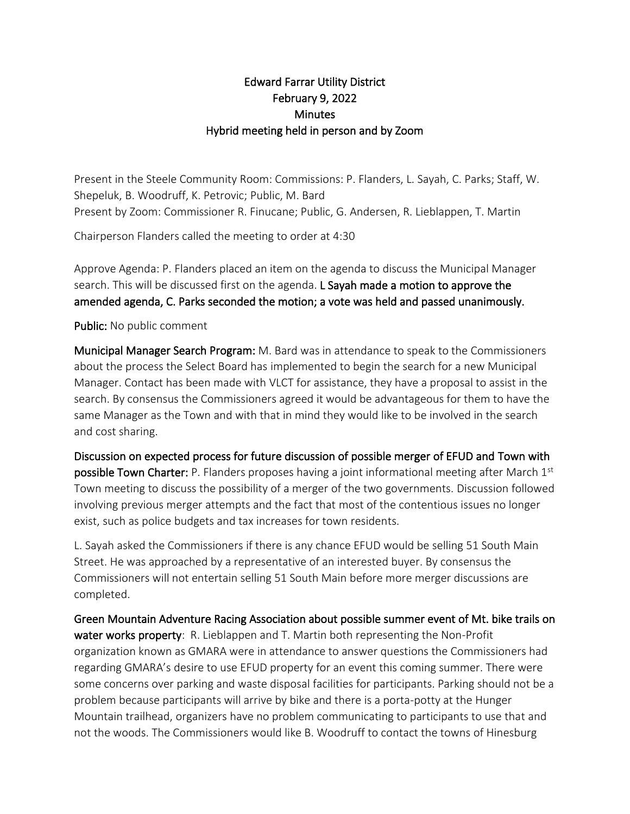## Edward Farrar Utility District February 9, 2022 **Minutes** Hybrid meeting held in person and by Zoom

Present in the Steele Community Room: Commissions: P. Flanders, L. Sayah, C. Parks; Staff, W. Shepeluk, B. Woodruff, K. Petrovic; Public, M. Bard Present by Zoom: Commissioner R. Finucane; Public, G. Andersen, R. Lieblappen, T. Martin

Chairperson Flanders called the meeting to order at 4:30

Approve Agenda: P. Flanders placed an item on the agenda to discuss the Municipal Manager search. This will be discussed first on the agenda. L Sayah made a motion to approve the amended agenda, C. Parks seconded the motion; a vote was held and passed unanimously.

Public: No public comment

Municipal Manager Search Program: M. Bard was in attendance to speak to the Commissioners about the process the Select Board has implemented to begin the search for a new Municipal Manager. Contact has been made with VLCT for assistance, they have a proposal to assist in the search. By consensus the Commissioners agreed it would be advantageous for them to have the same Manager as the Town and with that in mind they would like to be involved in the search and cost sharing.

Discussion on expected process for future discussion of possible merger of EFUD and Town with **possible Town Charter:** P. Flanders proposes having a joint informational meeting after March 1<sup>st</sup> Town meeting to discuss the possibility of a merger of the two governments. Discussion followed involving previous merger attempts and the fact that most of the contentious issues no longer exist, such as police budgets and tax increases for town residents.

L. Sayah asked the Commissioners if there is any chance EFUD would be selling 51 South Main Street. He was approached by a representative of an interested buyer. By consensus the Commissioners will not entertain selling 51 South Main before more merger discussions are completed.

Green Mountain Adventure Racing Association about possible summer event of Mt. bike trails on water works property: R. Lieblappen and T. Martin both representing the Non-Profit organization known as GMARA were in attendance to answer questions the Commissioners had regarding GMARA's desire to use EFUD property for an event this coming summer. There were some concerns over parking and waste disposal facilities for participants. Parking should not be a problem because participants will arrive by bike and there is a porta-potty at the Hunger Mountain trailhead, organizers have no problem communicating to participants to use that and not the woods. The Commissioners would like B. Woodruff to contact the towns of Hinesburg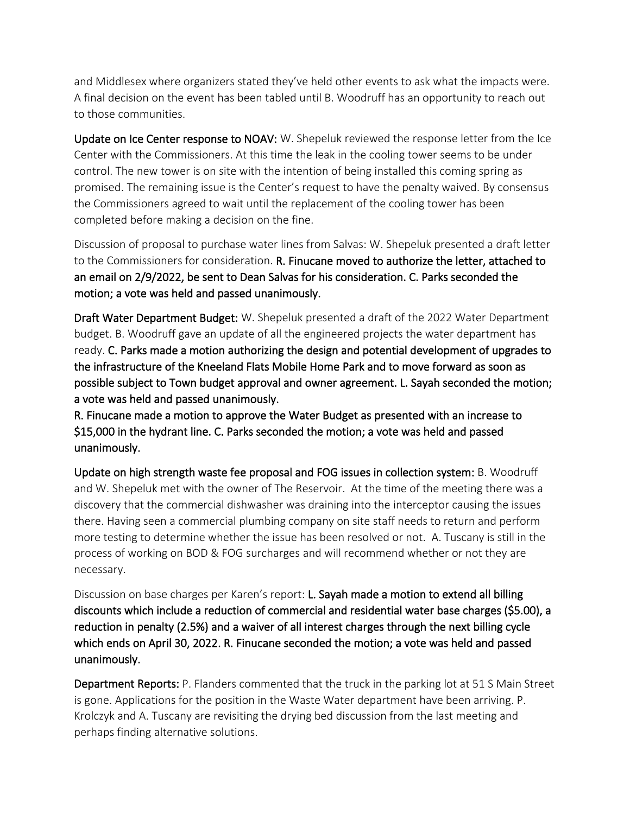and Middlesex where organizers stated they've held other events to ask what the impacts were. A final decision on the event has been tabled until B. Woodruff has an opportunity to reach out to those communities.

Update on Ice Center response to NOAV: W. Shepeluk reviewed the response letter from the Ice Center with the Commissioners. At this time the leak in the cooling tower seems to be under control. The new tower is on site with the intention of being installed this coming spring as promised. The remaining issue is the Center's request to have the penalty waived. By consensus the Commissioners agreed to wait until the replacement of the cooling tower has been completed before making a decision on the fine.

Discussion of proposal to purchase water lines from Salvas: W. Shepeluk presented a draft letter to the Commissioners for consideration. R. Finucane moved to authorize the letter, attached to an email on 2/9/2022, be sent to Dean Salvas for his consideration. C. Parks seconded the motion; a vote was held and passed unanimously.

Draft Water Department Budget: W. Shepeluk presented a draft of the 2022 Water Department budget. B. Woodruff gave an update of all the engineered projects the water department has ready. C. Parks made a motion authorizing the design and potential development of upgrades to the infrastructure of the Kneeland Flats Mobile Home Park and to move forward as soon as possible subject to Town budget approval and owner agreement. L. Sayah seconded the motion; a vote was held and passed unanimously.

R. Finucane made a motion to approve the Water Budget as presented with an increase to \$15,000 in the hydrant line. C. Parks seconded the motion; a vote was held and passed unanimously.

Update on high strength waste fee proposal and FOG issues in collection system: B. Woodruff and W. Shepeluk met with the owner of The Reservoir. At the time of the meeting there was a discovery that the commercial dishwasher was draining into the interceptor causing the issues there. Having seen a commercial plumbing company on site staff needs to return and perform more testing to determine whether the issue has been resolved or not. A. Tuscany is still in the process of working on BOD & FOG surcharges and will recommend whether or not they are necessary.

Discussion on base charges per Karen's report: L. Sayah made a motion to extend all billing discounts which include a reduction of commercial and residential water base charges (\$5.00), a reduction in penalty (2.5%) and a waiver of all interest charges through the next billing cycle which ends on April 30, 2022. R. Finucane seconded the motion; a vote was held and passed unanimously.

Department Reports: P. Flanders commented that the truck in the parking lot at 51 S Main Street is gone. Applications for the position in the Waste Water department have been arriving. P. Krolczyk and A. Tuscany are revisiting the drying bed discussion from the last meeting and perhaps finding alternative solutions.